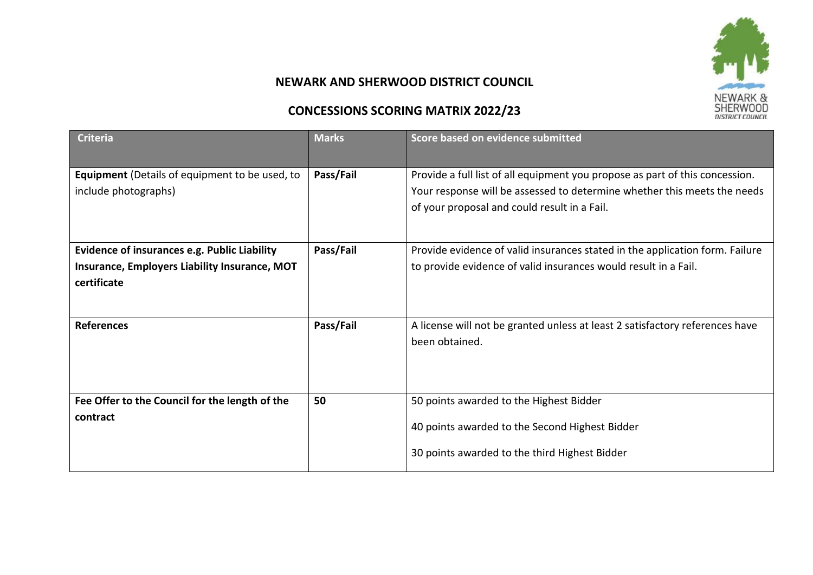

## **NEWARK AND SHERWOOD DISTRICT COUNCIL**

## **CONCESSIONS SCORING MATRIX 2022/23**

| <b>Criteria</b>                                                                                                     | <b>Marks</b> | Score based on evidence submitted                                                                                                                                                                        |
|---------------------------------------------------------------------------------------------------------------------|--------------|----------------------------------------------------------------------------------------------------------------------------------------------------------------------------------------------------------|
| <b>Equipment</b> (Details of equipment to be used, to<br>include photographs)                                       | Pass/Fail    | Provide a full list of all equipment you propose as part of this concession.<br>Your response will be assessed to determine whether this meets the needs<br>of your proposal and could result in a Fail. |
| <b>Evidence of insurances e.g. Public Liability</b><br>Insurance, Employers Liability Insurance, MOT<br>certificate | Pass/Fail    | Provide evidence of valid insurances stated in the application form. Failure<br>to provide evidence of valid insurances would result in a Fail.                                                          |
| <b>References</b>                                                                                                   | Pass/Fail    | A license will not be granted unless at least 2 satisfactory references have<br>been obtained.                                                                                                           |
| Fee Offer to the Council for the length of the<br>contract                                                          | 50           | 50 points awarded to the Highest Bidder<br>40 points awarded to the Second Highest Bidder<br>30 points awarded to the third Highest Bidder                                                               |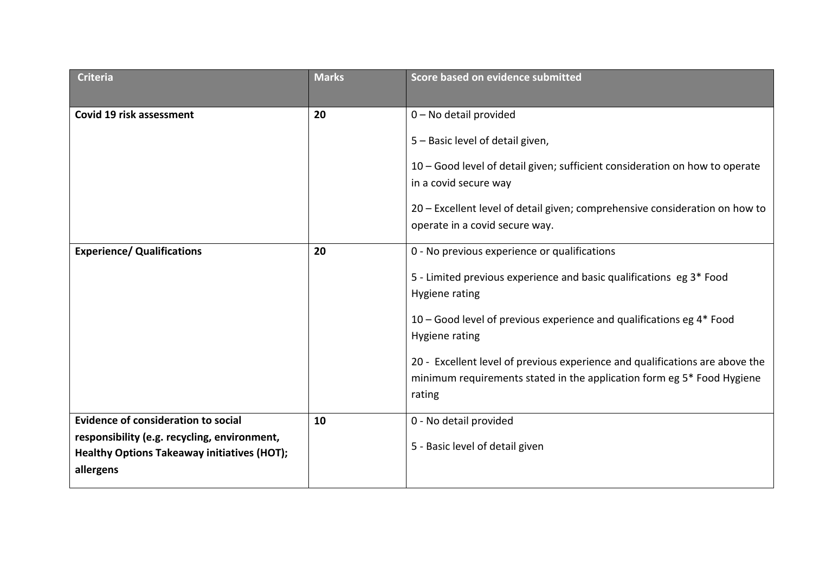| <b>Criteria</b>                                    | <b>Marks</b> | Score based on evidence submitted                                            |
|----------------------------------------------------|--------------|------------------------------------------------------------------------------|
|                                                    |              |                                                                              |
| Covid 19 risk assessment                           | 20           | 0 - No detail provided                                                       |
|                                                    |              | 5 - Basic level of detail given,                                             |
|                                                    |              | 10 - Good level of detail given; sufficient consideration on how to operate  |
|                                                    |              | in a covid secure way                                                        |
|                                                    |              | 20 - Excellent level of detail given; comprehensive consideration on how to  |
|                                                    |              | operate in a covid secure way.                                               |
| <b>Experience/ Qualifications</b>                  | 20           | 0 - No previous experience or qualifications                                 |
|                                                    |              | 5 - Limited previous experience and basic qualifications eg 3* Food          |
|                                                    |              | Hygiene rating                                                               |
|                                                    |              | 10 – Good level of previous experience and qualifications eg $4*$ Food       |
|                                                    |              | Hygiene rating                                                               |
|                                                    |              | 20 - Excellent level of previous experience and qualifications are above the |
|                                                    |              | minimum requirements stated in the application form eg 5* Food Hygiene       |
|                                                    |              | rating                                                                       |
| <b>Evidence of consideration to social</b>         | 10           | 0 - No detail provided                                                       |
| responsibility (e.g. recycling, environment,       |              |                                                                              |
| <b>Healthy Options Takeaway initiatives (HOT);</b> |              | 5 - Basic level of detail given                                              |
| allergens                                          |              |                                                                              |
|                                                    |              |                                                                              |